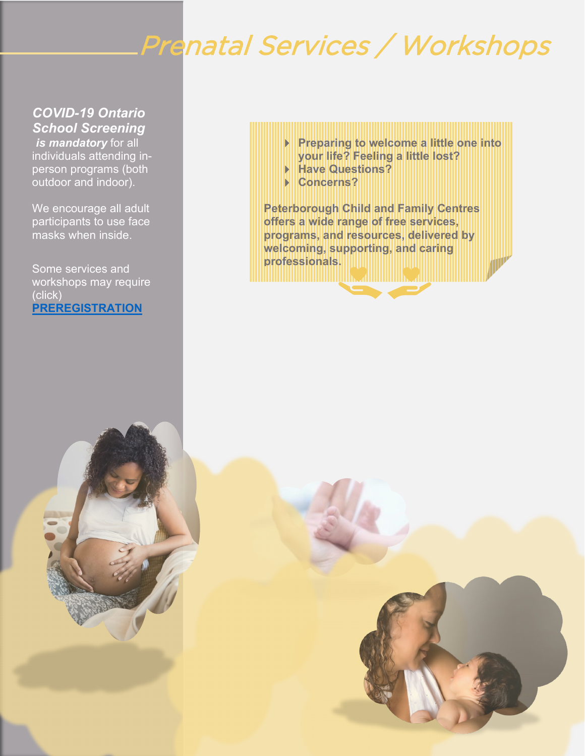# Prenatal Services / Workshops

### *COVID-19 Ontario School Screening*

*is mandatory* for all individuals attending inperson programs (both outdoor and indoor).

We encourage all adult participants to use face masks when inside.

Some services and workshops may require (click) **[PREREGISTRATION](https://ptbocfc.ca/program-registration-form/)**

- **Preparing to welcome a little one into your life? Feeling a little lost?**
- **Have Questions?**
- **Concerns?**

**Peterborough Child and Family Centres offers a wide range of free services, programs, and resources, delivered by welcoming, supporting, and caring**  professionals.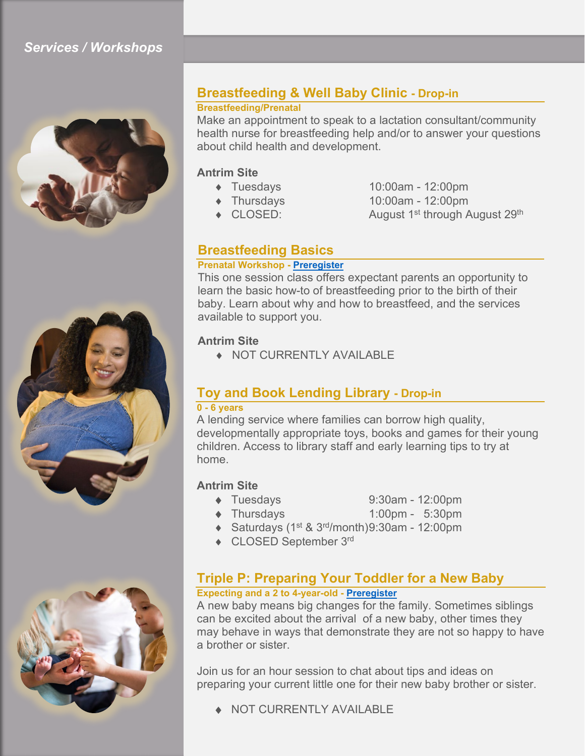### *Services / Workshops*





### **Breastfeeding & Well Baby Clinic - Drop-in**

#### **Breastfeeding/Prenatal**

Make an appointment to speak to a lactation consultant/community health nurse for breastfeeding help and/or to answer your questions about child health and development.

#### **Antrim Site**

- 
- 
- 
- ♦ Tuesdays 10:00am 12:00pm ♦ Thursdays 10:00am - 12:00pm
- ◆ CLOSED: August 1<sup>st</sup> through August 29<sup>th</sup>

#### **Breastfeeding Basics**

#### **Prenatal Workshop - [Preregister](https://ptbocfc.ca/program-registration-form/)**

This one session class offers expectant parents an opportunity to learn the basic how-to of breastfeeding prior to the birth of their baby. Learn about why and how to breastfeed, and the services available to support you.

#### **Antrim Site**

♦ NOT CURRENTLY AVAILABLE

### **Toy and Book Lending Library - Drop-in**

#### **0 - 6 years**

A lending service where families can borrow high quality, developmentally appropriate toys, books and games for their young children. Access to library staff and early learning tips to try at home.

#### **Antrim Site**

- ♦ Tuesdays 9:30am 12:00pm
- ♦ Thursdays 1:00pm 5:30pm
- $\triangleleft$  Saturdays (1<sup>st</sup> & 3<sup>rd</sup>/month)9:30am 12:00pm
- ♦ CLOSED September 3rd

### **Triple P: Preparing Your Toddler for a New Baby**

### **Expecting and a 2 to 4-year-old - [Preregister](https://ptbocfc.ca/program-registration-form/)**

A new baby means big changes for the family. Sometimes siblings can be excited about the arrival of a new baby, other times they may behave in ways that demonstrate they are not so happy to have a brother or sister.

Join us for an hour session to chat about tips and ideas on preparing your current little one for their new baby brother or sister.

NOT CURRENTLY AVAILABLE